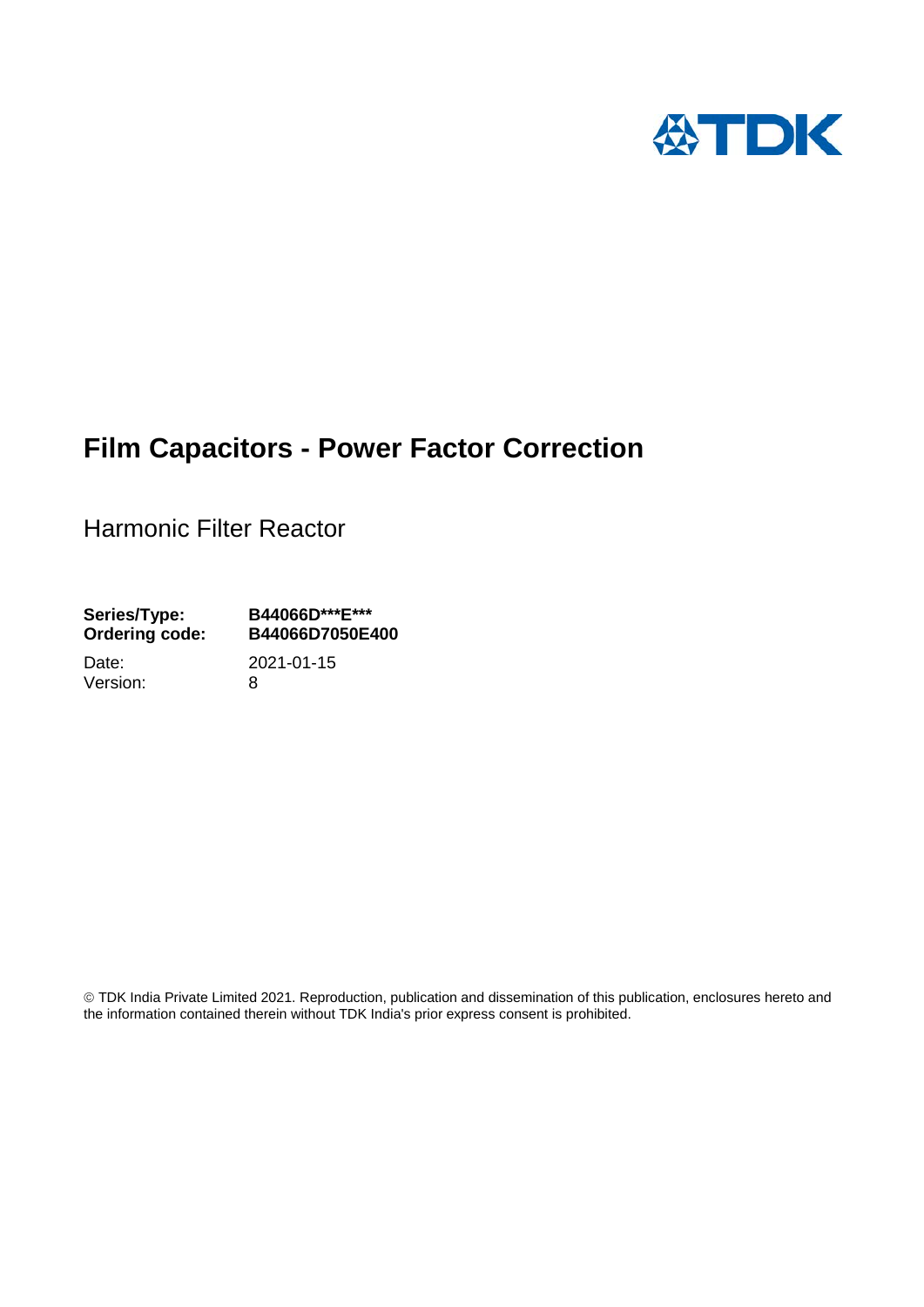

# **Film Capacitors - Power Factor Correction**

Harmonic Filter Reactor

**Series/Type: B44066D\*\*\*E\*\*\* Ordering code: B44066D7050E400**

Version: 8

Date: 2021-01-15

 TDK India Private Limited 2021. Reproduction, publication and dissemination of this publication, enclosures hereto and the information contained therein without TDK India's prior express consent is prohibited.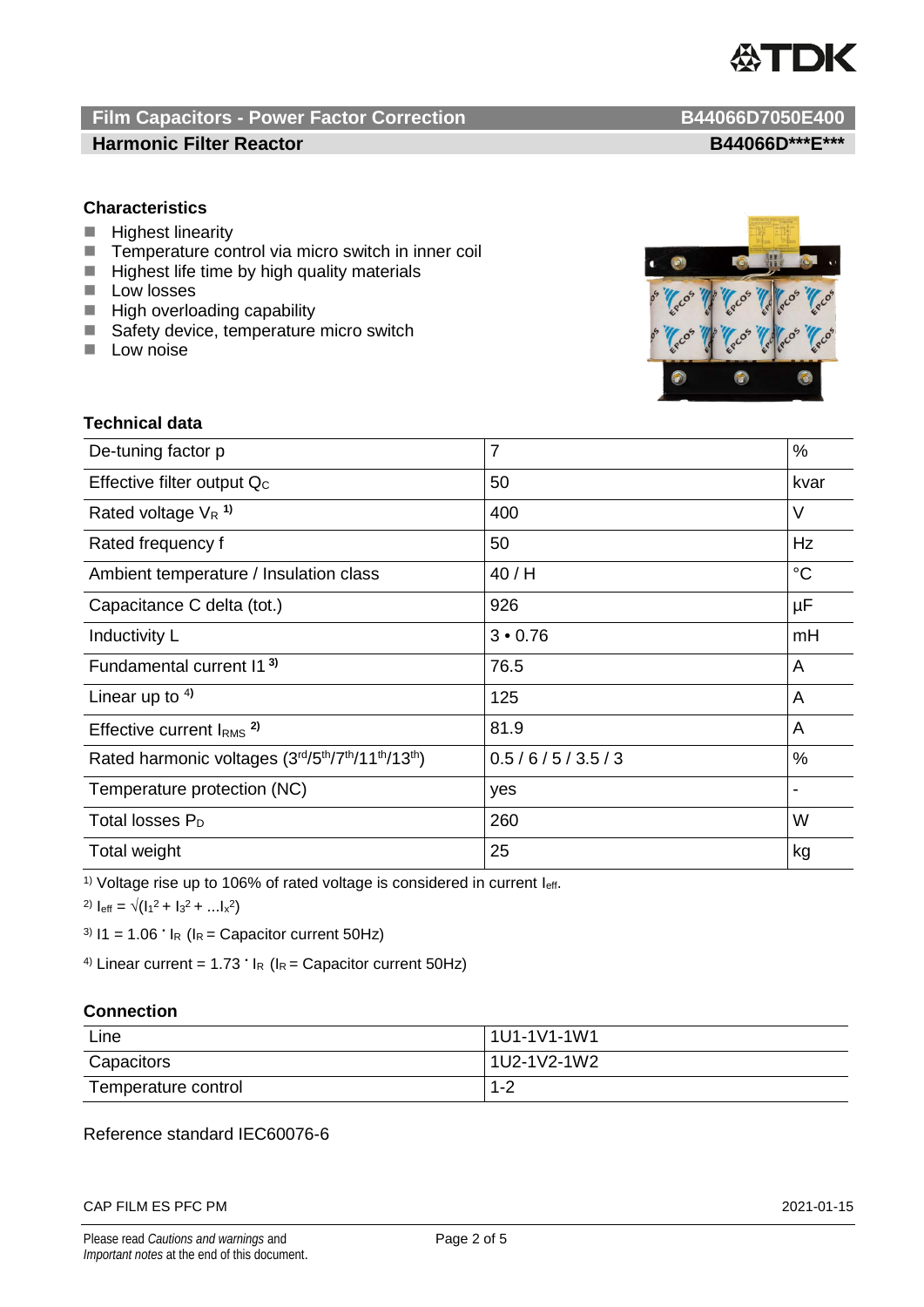

## **Film Capacitors - Power Factor Correction B44066D7050E400 Harmonic Filter Reactor B44066D\*\*\*E\*\*\***

## **Characteristics**

- **Highest linearity**
- $\blacksquare$  Temperature control via micro switch in inner coil<br> $\blacksquare$  Highest life time by high quality materials
- Highest life time by high quality materials
- **Low losses**
- **High overloading capability**
- Safety device, temperature micro switch
- $\blacksquare$  Low noise



## **Technical data**

| De-tuning factor p                              | $\overline{7}$ | %           |
|-------------------------------------------------|----------------|-------------|
| Effective filter output Q <sub>c</sub>          | 50             | kvar        |
| Rated voltage $V_R$ <sup>1)</sup>               | 400            | V           |
| Rated frequency f                               | 50             | Hz          |
| Ambient temperature / Insulation class          | 40/H           | $^{\circ}C$ |
| Capacitance C delta (tot.)                      | 926            | $\mu$ F     |
| Inductivity L                                   | 3 • 0.76       | mH          |
| Fundamental current 11 <sup>3)</sup>            | 76.5           | A           |
| Linear up to $4$ )                              | 125            | A           |
| Effective current $IRMS$ <sup>2)</sup>          | 81.9           | A           |
| Rated harmonic voltages (3rd/5th/7th/11th/13th) | 0.5/6/5/3.5/3  | $\%$        |
| Temperature protection (NC)                     | yes            |             |
| Total losses $P_D$                              | 260            | W           |
| Total weight                                    | 25             | kg          |

<sup>1)</sup> Voltage rise up to 106% of rated voltage is considered in current  $I_{\text{eff}}$ .

2)  $I_{\text{eff}} = \sqrt{(I_1^2 + I_3^2 + ... I_x^2)}$ 

<sup>3)</sup>  $11 = 1.06$   $\cdot$   $I_R$  ( $I_R$  = Capacitor current 50Hz)

<sup>4)</sup> Linear current =  $1.73 \cdot I_R$  ( $I_R$  = Capacitor current 50Hz)

## **Connection**

| Line                | 1U1-1V1-1W1 |  |
|---------------------|-------------|--|
| Capacitors          | 1U2-1V2-1W2 |  |
| Temperature control | $1 - 2$     |  |

## Reference standard IEC60076-6

### CAP FILM ES PFC PM 2021-01-15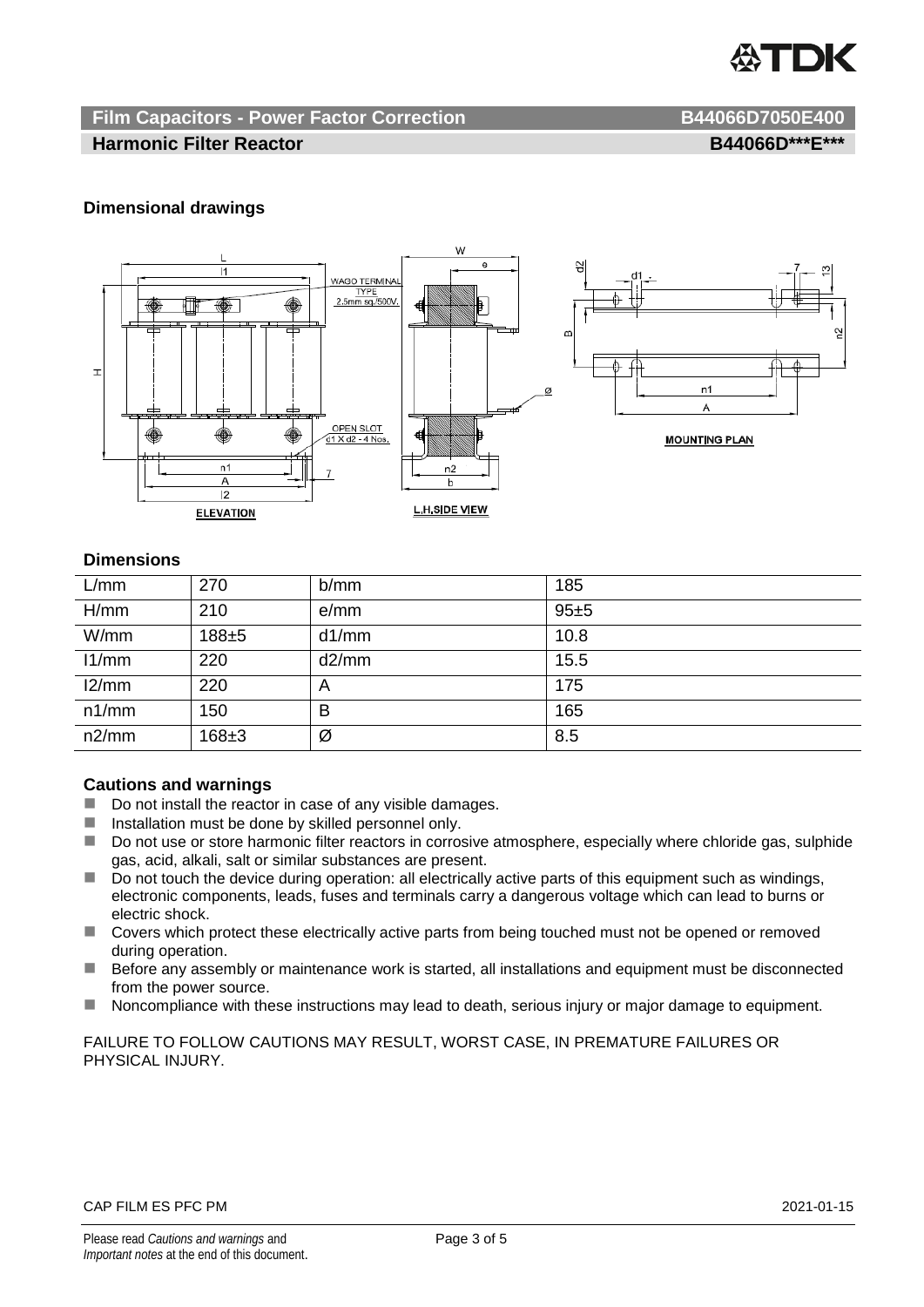

## **Film Capacitors - Power Factor Correction B44066D7050E400**

## **Harmonic Filter Reactor B44066D\*\*\*E\*\*\***

## **Dimensional drawings**



## **Dimensions**

| L/mm  | 270       | b/mm  | 185  |
|-------|-----------|-------|------|
| H/mm  | 210       | e/mm  | 95±5 |
| W/mm  | $188 + 5$ | d1/mm | 10.8 |
| 11/mm | 220       | d2/mm | 15.5 |
| 12/mm | 220       | A     | 175  |
| n1/mm | 150       | в     | 165  |
| n2/mm | $168 + 3$ | Ø     | 8.5  |

## **Cautions and warnings**

- Do not install the reactor in case of any visible damages.
- $\blacksquare$  Installation must be done by skilled personnel only.
- Do not use or store harmonic filter reactors in corrosive atmosphere, especially where chloride gas, sulphide gas, acid, alkali, salt or similar substances are present.
- $\Box$  Do not touch the device during operation: all electrically active parts of this equipment such as windings, electronic components, leads, fuses and terminals carry a dangerous voltage which can lead to burns or electric shock.
- Covers which protect these electrically active parts from being touched must not be opened or removed during operation.
- Before any assembly or maintenance work is started, all installations and equipment must be disconnected from the power source.
- Noncompliance with these instructions may lead to death, serious injury or major damage to equipment.

FAILURE TO FOLLOW CAUTIONS MAY RESULT, WORST CASE, IN PREMATURE FAILURES OR PHYSICAL INJURY.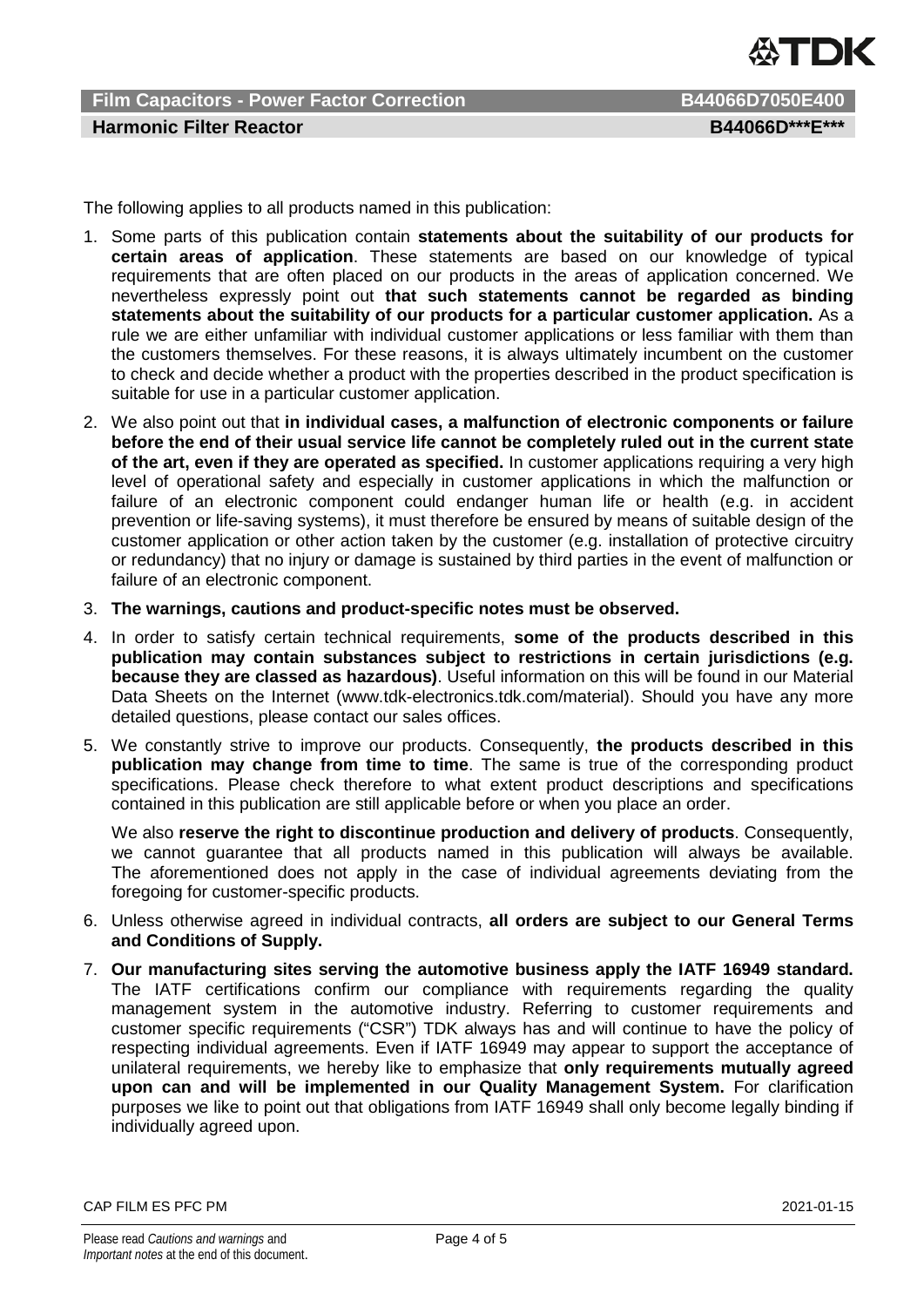

**Film Capacitors - Power Factor Correction B44066D7050E400 Harmonic Filter Reactor B44066D\*\*\*E\*\*\*** 

The following applies to all products named in this publication:

- 1. Some parts of this publication contain **statements about the suitability of our products for certain areas of application**. These statements are based on our knowledge of typical requirements that are often placed on our products in the areas of application concerned. We nevertheless expressly point out **that such statements cannot be regarded as binding statements about the suitability of our products for a particular customer application.** As a rule we are either unfamiliar with individual customer applications or less familiar with them than the customers themselves. For these reasons, it is always ultimately incumbent on the customer to check and decide whether a product with the properties described in the product specification is suitable for use in a particular customer application.
- 2. We also point out that **in individual cases, a malfunction of electronic components or failure before the end of their usual service life cannot be completely ruled out in the current state of the art, even if they are operated as specified.** In customer applications requiring a very high level of operational safety and especially in customer applications in which the malfunction or failure of an electronic component could endanger human life or health (e.g. in accident prevention or life-saving systems), it must therefore be ensured by means of suitable design of the customer application or other action taken by the customer (e.g. installation of protective circuitry or redundancy) that no injury or damage is sustained by third parties in the event of malfunction or failure of an electronic component.
- 3. **The warnings, cautions and product-specific notes must be observed.**
- 4. In order to satisfy certain technical requirements, **some of the products described in this publication may contain substances subject to restrictions in certain jurisdictions (e.g. because they are classed as hazardous)**. Useful information on this will be found in our Material Data Sheets on the Internet (www.tdk-electronics.tdk.com/material). Should you have any more detailed questions, please contact our sales offices.
- 5. We constantly strive to improve our products. Consequently, **the products described in this publication may change from time to time**. The same is true of the corresponding product specifications. Please check therefore to what extent product descriptions and specifications contained in this publication are still applicable before or when you place an order.

We also **reserve the right to discontinue production and delivery of products**. Consequently, we cannot guarantee that all products named in this publication will always be available. The aforementioned does not apply in the case of individual agreements deviating from the foregoing for customer-specific products.

- 6. Unless otherwise agreed in individual contracts, **all orders are subject to our General Terms and Conditions of Supply.**
- 7. **Our manufacturing sites serving the automotive business apply the IATF 16949 standard.** The IATF certifications confirm our compliance with requirements regarding the quality management system in the automotive industry. Referring to customer requirements and customer specific requirements ("CSR") TDK always has and will continue to have the policy of respecting individual agreements. Even if IATF 16949 may appear to support the acceptance of unilateral requirements, we hereby like to emphasize that **only requirements mutually agreed upon can and will be implemented in our Quality Management System.** For clarification purposes we like to point out that obligations from IATF 16949 shall only become legally binding if individually agreed upon.

CAP FILM ES PFC PM 2021-01-15